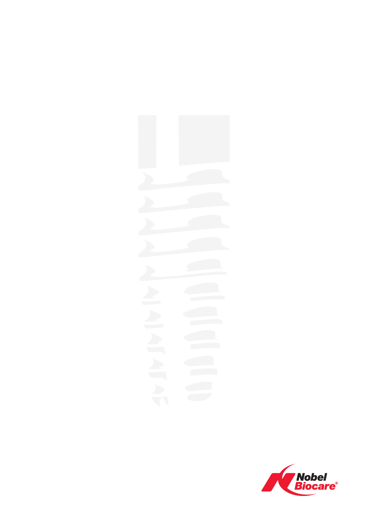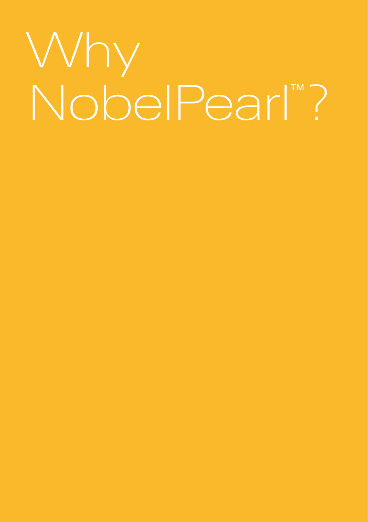# Why NobelPearl™?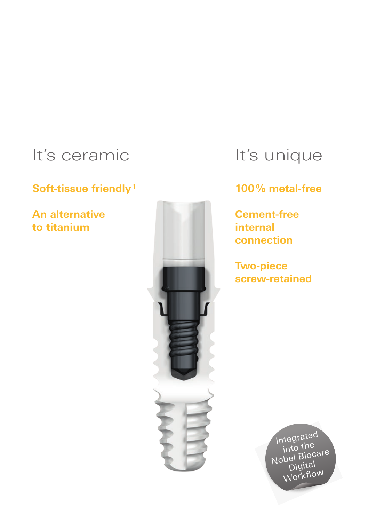### It's ceramic

#### **Soft-tissue friendly <sup>1</sup>**

**An alternative to titanium**



### It's unique

### **100% metal-free**

**Cement-free internal connection**

**Two-piece screw-retained**

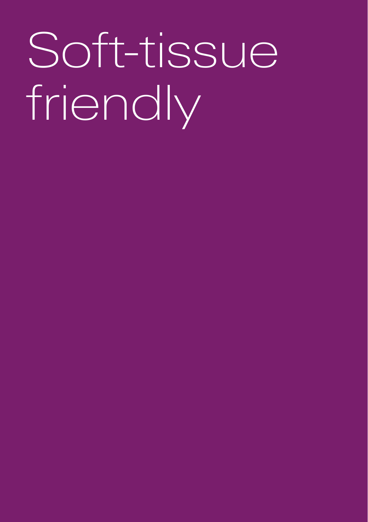# Soft-tissue friendly

- 
- 
- 
- 
- 
- -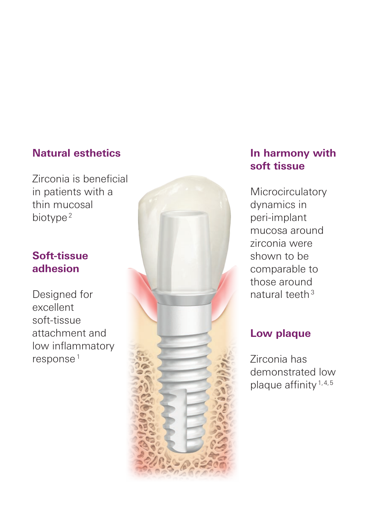#### **Natural esthetics**

Zirconia is beneficial in patients with a thin mucosal biotype<sup>2</sup>

#### **Soft-tissue adhesion**

Designed for excellent soft-tissue attachment and low inflammatory response 1



#### **In harmony with soft tissue**

**Microcirculatory** dynamics in peri-implant mucosa around zirconia were shown to be comparable to those around natural teeth 3

#### **Low plaque**

Zirconia has demonstrated low plaque affinity<sup>1,4,5</sup>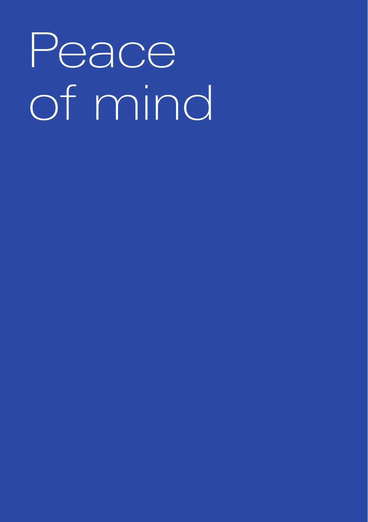# Peace of mind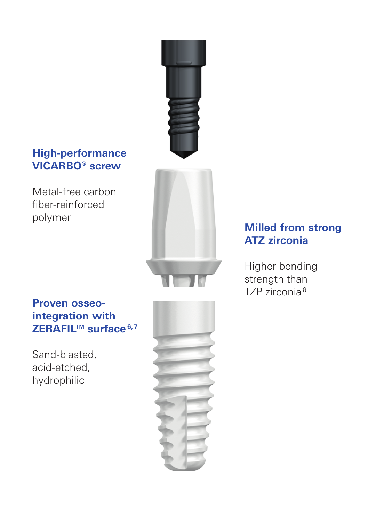#### **High-performance VICARBO® screw**

Metal-free carbon fiber-reinforced polymer



### **Proven osseointegration with ZERAFIL™ surface 6,7**

Sand-blasted, acid-etched, hydrophilic



### **Milled from strong ATZ zirconia**

Higher bending strength than TZP zirconia <sup>8</sup>